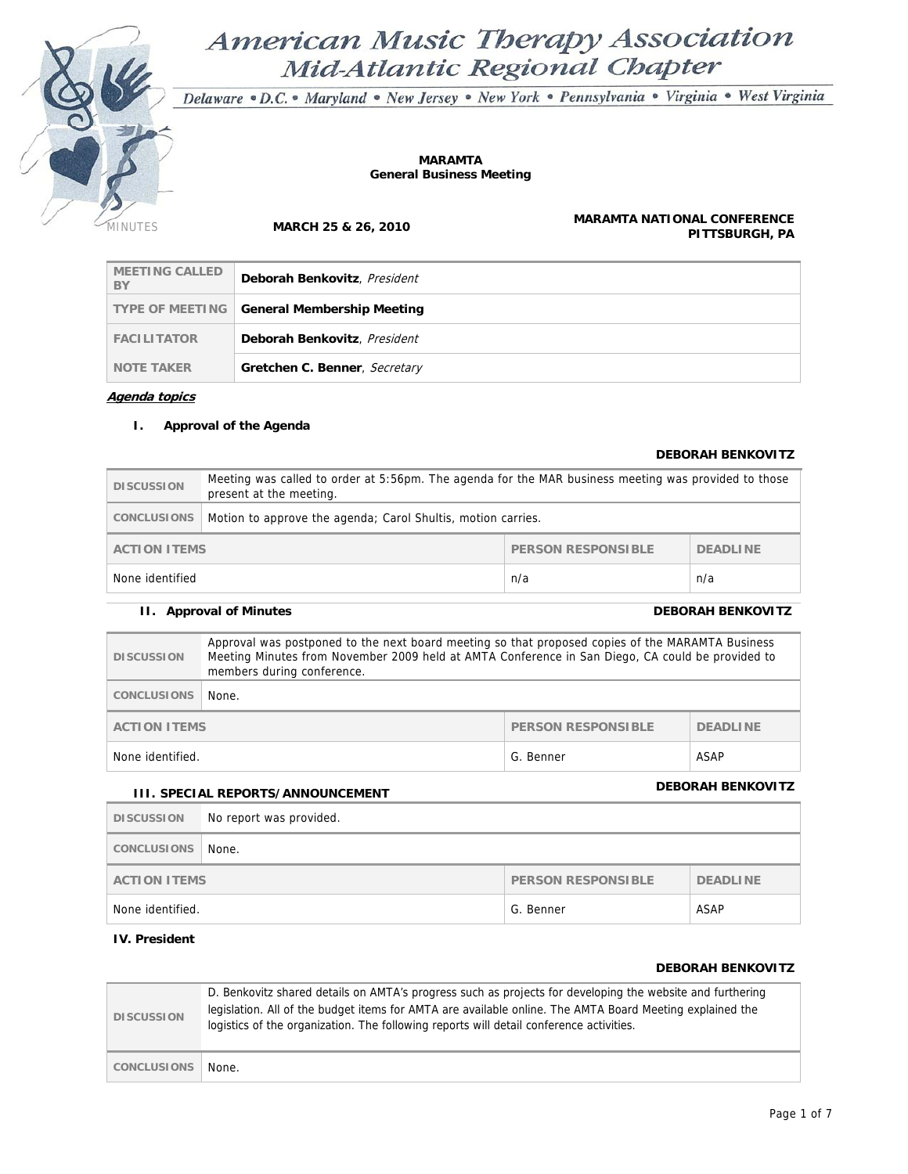

# American Music Therapy Association Mid-Atlantic Regional Chapter

Delaware · D.C. · Maryland · New Jersey · New York · Pennsylvania · Virginia · West Virginia

#### **MARAMTA General Business Meeting**

MINUTES **MARCH 25 & 26, 2010 MARAMTA NATIONAL CONFERENCE PITTSBURGH, PA**

| <b>MEETING CALLED</b><br>BY | Deborah Benkovitz, President  |
|-----------------------------|-------------------------------|
| <b>TYPE OF MEETING</b>      | General Membership Meeting    |
| <b>FACILITATOR</b>          | Deborah Benkovitz, President  |
| <b>NOTE TAKER</b>           | Gretchen C. Benner, Secretary |

**Agenda topics**

#### **I. Approval of the Agenda**

#### **DEBORAH BENKOVITZ**

| <b>DISCUSSION</b>                                            | Meeting was called to order at 5:56pm. The agenda for the MAR business meeting was provided to those<br>present at the meeting. |  |  |  |
|--------------------------------------------------------------|---------------------------------------------------------------------------------------------------------------------------------|--|--|--|
| CONCLUSIONS                                                  | Motion to approve the agenda; Carol Shultis, motion carries.                                                                    |  |  |  |
| PERSON RESPONSIBLE<br><b>DEADLINE</b><br><b>ACTION ITEMS</b> |                                                                                                                                 |  |  |  |
| None identified<br>n/a<br>n/a                                |                                                                                                                                 |  |  |  |

### **II.** Approval of Minutes DEBORAH BENKOVITZ

| <b>DISCUSSION</b>                     | Approval was postponed to the next board meeting so that proposed copies of the MARAMTA Business<br>Meeting Minutes from November 2009 held at AMTA Conference in San Diego, CA could be provided to<br>members during conference. |  |  |
|---------------------------------------|------------------------------------------------------------------------------------------------------------------------------------------------------------------------------------------------------------------------------------|--|--|
| <b>CONCLUSIONS</b>                    | None.                                                                                                                                                                                                                              |  |  |
|                                       | <b>PERSON RESPONSIBLE</b><br><b>ACTION ITEMS</b><br><b>DEADLINE</b>                                                                                                                                                                |  |  |
| ASAP<br>None identified.<br>G. Benner |                                                                                                                                                                                                                                    |  |  |

## **III. SPECIAL REPORTS/ANNOUNCEMENT DEBORAH BENKOVITZ**

| <b>DISCUSSION</b>                                            | No report was provided. |  |  |
|--------------------------------------------------------------|-------------------------|--|--|
| CONCLUSIONS                                                  | None.                   |  |  |
| <b>ACTION ITEMS</b><br>PERSON RESPONSIBLE<br><b>DEADLINE</b> |                         |  |  |
| ASAP<br>None identified.<br>G. Benner                        |                         |  |  |

### **IV. President**

#### **DEBORAH BENKOVITZ**

| <b>DISCUSSION</b> | D. Benkovitz shared details on AMTA's progress such as projects for developing the website and furthering<br>legislation. All of the budget items for AMTA are available online. The AMTA Board Meeting explained the<br>logistics of the organization. The following reports will detail conference activities. |
|-------------------|------------------------------------------------------------------------------------------------------------------------------------------------------------------------------------------------------------------------------------------------------------------------------------------------------------------|
| CONCLUSIONS       | None.                                                                                                                                                                                                                                                                                                            |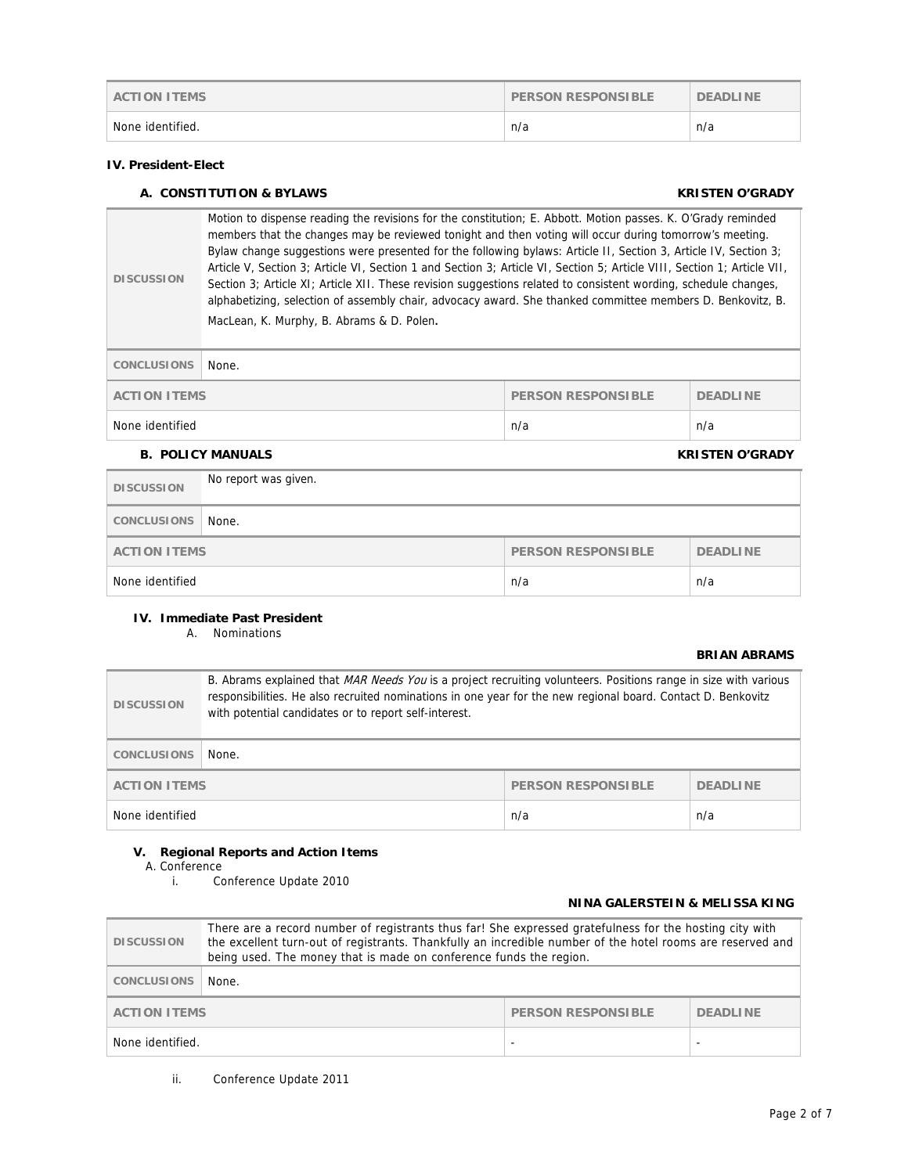| <b>ACTION ITEMS</b> | <b>PERSON RESPONSIBLE</b> | <b>DEADLINE</b> |
|---------------------|---------------------------|-----------------|
| None identified.    | n/a                       | n/a             |

#### **IV. President-Elect**

#### **A. CONSTITUTION & BYLAWS KRISTEN O'GRADY**

**DISCUSSION**  Motion to dispense reading the revisions for the constitution; E. Abbott. Motion passes. K. O'Grady reminded members that the changes may be reviewed tonight and then voting will occur during tomorrow's meeting. Bylaw change suggestions were presented for the following bylaws: Article II, Section 3, Article IV, Section 3; Article V, Section 3; Article VI, Section 1 and Section 3; Article VI, Section 5; Article VIII, Section 1; Article VII, Section 3; Article XI; Article XII. These revision suggestions related to consistent wording, schedule changes, alphabetizing, selection of assembly chair, advocacy award. She thanked committee members D. Benkovitz, B. MacLean, K. Murphy, B. Abrams & D. Polen.

| CONCLUSIONS         | None. |                           |                 |
|---------------------|-------|---------------------------|-----------------|
| <b>ACTION ITEMS</b> |       | <b>PERSON RESPONSIBLE</b> | <b>DEADLINE</b> |
| None identified     |       | n/a                       | n/a             |

#### **B.** POLICY MANUALS **EXECUTES CONSUMING THE CONSUMING OF A RESERVATION CONSUMING THE CONSUMING OF A RESERVATION OF A RESERVATION OF A RESERVATION OF A RESERVATION OF A RESERVATION OF A RESERVATION OF A RESERVATION OF A R**

| <b>DISCUSSION</b> | No report was given.                                         |     |     |
|-------------------|--------------------------------------------------------------|-----|-----|
| CONCLUSIONS       | None.                                                        |     |     |
|                   | <b>DEADLINE</b><br><b>ACTION ITEMS</b><br>PERSON RESPONSIBLE |     |     |
| None identified   |                                                              | n/a | n/a |

#### **IV. Immediate Past President**

A. Nominations

#### **BRIAN ABRAMS**

| <b>DISCUSSION</b>                                                   | B. Abrams explained that MAR Needs You is a project recruiting volunteers. Positions range in size with various<br>responsibilities. He also recruited nominations in one year for the new regional board. Contact D. Benkovitz<br>with potential candidates or to report self-interest. |  |  |
|---------------------------------------------------------------------|------------------------------------------------------------------------------------------------------------------------------------------------------------------------------------------------------------------------------------------------------------------------------------------|--|--|
| <b>CONCLUSIONS</b>                                                  | None.                                                                                                                                                                                                                                                                                    |  |  |
| <b>PERSON RESPONSIBLE</b><br><b>ACTION ITEMS</b><br><b>DEADLINE</b> |                                                                                                                                                                                                                                                                                          |  |  |
| None identified<br>n/a<br>n/a                                       |                                                                                                                                                                                                                                                                                          |  |  |

#### **V. Regional Reports and Action Items**

A. Conference

Conference Update 2010

#### **NINA GALERSTEIN & MELISSA KING**

| <b>DISCUSSION</b> | There are a record number of registrants thus far! She expressed gratefulness for the hosting city with<br>the excellent turn-out of registrants. Thankfully an incredible number of the hotel rooms are reserved and<br>being used. The money that is made on conference funds the region. |  |  |
|-------------------|---------------------------------------------------------------------------------------------------------------------------------------------------------------------------------------------------------------------------------------------------------------------------------------------|--|--|
| CONCLUSIONS       | None.                                                                                                                                                                                                                                                                                       |  |  |
|                   | PERSON RESPONSIBLE<br><b>ACTION ITEMS</b><br><b>DEADLINE</b>                                                                                                                                                                                                                                |  |  |
| None identified.  |                                                                                                                                                                                                                                                                                             |  |  |

ii. Conference Update 2011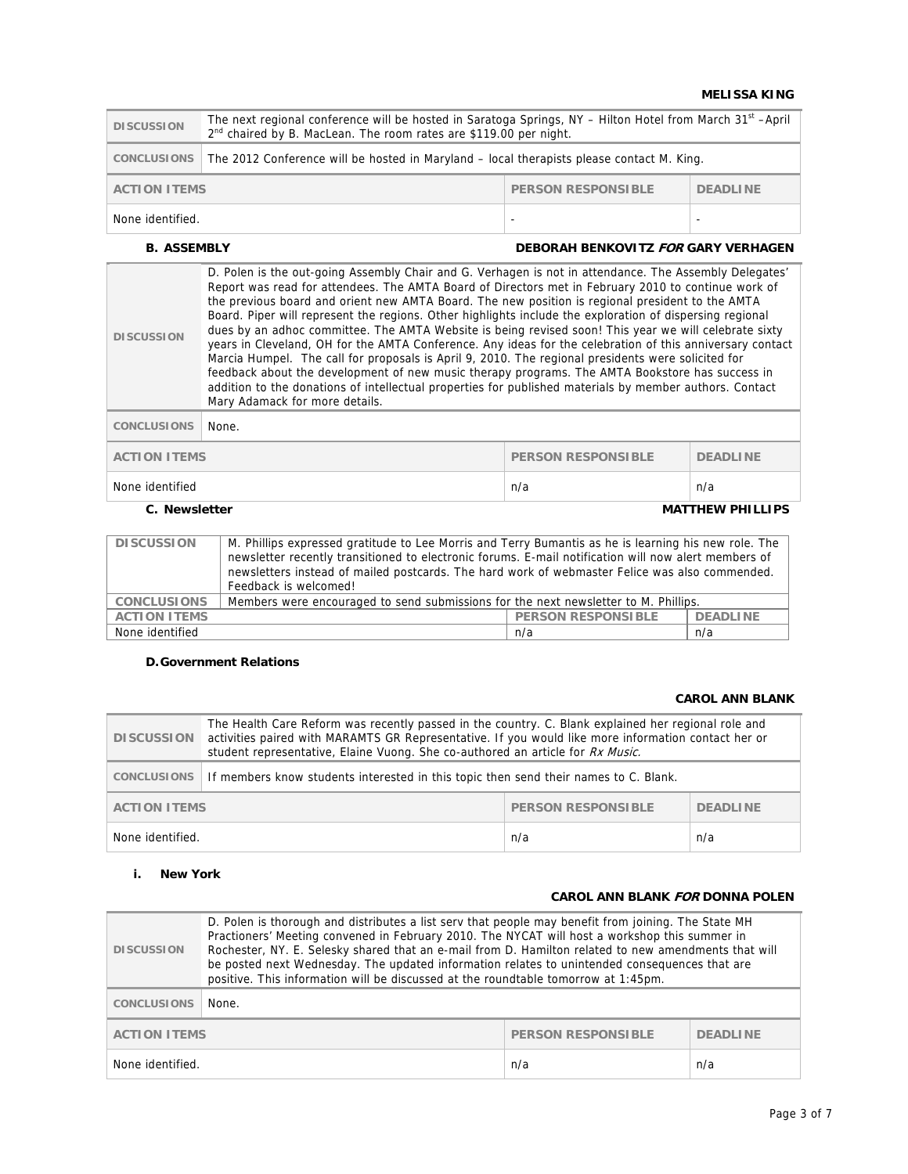#### **MELISSA KING**

| <b>DISCUSSION</b>                                                   | The next regional conference will be hosted in Saratoga Springs, NY - Hilton Hotel from March 31 <sup>st</sup> -April<br>2 <sup>nd</sup> chaired by B. MacLean. The room rates are \$119.00 per night. |  |  |  |
|---------------------------------------------------------------------|--------------------------------------------------------------------------------------------------------------------------------------------------------------------------------------------------------|--|--|--|
| CONCLUSIONS                                                         | The 2012 Conference will be hosted in Maryland – local therapists please contact M. King.                                                                                                              |  |  |  |
| <b>PERSON RESPONSIBLE</b><br><b>DEADLINE</b><br><b>ACTION ITEMS</b> |                                                                                                                                                                                                        |  |  |  |
| None identified.<br>-                                               |                                                                                                                                                                                                        |  |  |  |

#### **B. ASSEMBLY DEBORAH BENKOVITZ FOR GARY VERHAGEN**

| <b>DISCUSSION</b>                        | D. Polen is the out-going Assembly Chair and G. Verhagen is not in attendance. The Assembly Delegates'<br>Report was read for attendees. The AMTA Board of Directors met in February 2010 to continue work of<br>the previous board and orient new AMTA Board. The new position is regional president to the AMTA<br>Board. Piper will represent the regions. Other highlights include the exploration of dispersing regional<br>dues by an adhoc committee. The AMTA Website is being revised soon! This year we will celebrate sixty<br>years in Cleveland, OH for the AMTA Conference. Any ideas for the celebration of this anniversary contact<br>Marcia Humpel. The call for proposals is April 9, 2010. The regional presidents were solicited for<br>feedback about the development of new music therapy programs. The AMTA Bookstore has success in<br>addition to the donations of intellectual properties for published materials by member authors. Contact<br>Mary Adamack for more details. |                           |                 |
|------------------------------------------|-----------------------------------------------------------------------------------------------------------------------------------------------------------------------------------------------------------------------------------------------------------------------------------------------------------------------------------------------------------------------------------------------------------------------------------------------------------------------------------------------------------------------------------------------------------------------------------------------------------------------------------------------------------------------------------------------------------------------------------------------------------------------------------------------------------------------------------------------------------------------------------------------------------------------------------------------------------------------------------------------------------|---------------------------|-----------------|
| <b>CONCLUSIONS</b>                       | None.                                                                                                                                                                                                                                                                                                                                                                                                                                                                                                                                                                                                                                                                                                                                                                                                                                                                                                                                                                                                     |                           |                 |
| <b>ACTION ITEMS</b>                      |                                                                                                                                                                                                                                                                                                                                                                                                                                                                                                                                                                                                                                                                                                                                                                                                                                                                                                                                                                                                           | <b>PERSON RESPONSIBLE</b> | <b>DEADLINE</b> |
| None identified                          |                                                                                                                                                                                                                                                                                                                                                                                                                                                                                                                                                                                                                                                                                                                                                                                                                                                                                                                                                                                                           | n/a                       | n/a             |
| <b>MATTHEW PHILLIPS</b><br>C. Newsletter |                                                                                                                                                                                                                                                                                                                                                                                                                                                                                                                                                                                                                                                                                                                                                                                                                                                                                                                                                                                                           |                           |                 |

| <b>DISCUSSION</b>   | M. Phillips expressed gratitude to Lee Morris and Terry Bumantis as he is learning his new role. The |                           |                 |
|---------------------|------------------------------------------------------------------------------------------------------|---------------------------|-----------------|
|                     | newsletter recently transitioned to electronic forums. E-mail notification will now alert members of |                           |                 |
|                     | newsletters instead of mailed postcards. The hard work of webmaster Felice was also commended.       |                           |                 |
|                     | Feedback is welcomed!                                                                                |                           |                 |
| <b>CONCLUSIONS</b>  | Members were encouraged to send submissions for the next newsletter to M. Phillips.                  |                           |                 |
| <b>ACTION ITEMS</b> |                                                                                                      | <b>PERSON RESPONSIBLE</b> | <b>DEADLINE</b> |
| None identified     |                                                                                                      | n/a                       | n/a             |

#### **D.Government Relations**

#### **CAROL ANN BLANK**

| <b>DISCUSSION</b>                                | The Health Care Reform was recently passed in the country. C. Blank explained her regional role and<br>activities paired with MARAMTS GR Representative. If you would like more information contact her or<br>student representative, Elaine Vuong. She co-authored an article for Rx Music. |     |                 |
|--------------------------------------------------|----------------------------------------------------------------------------------------------------------------------------------------------------------------------------------------------------------------------------------------------------------------------------------------------|-----|-----------------|
| CONCLUSIONS                                      | If members know students interested in this topic then send their names to C. Blank.                                                                                                                                                                                                         |     |                 |
| <b>PERSON RESPONSIBLE</b><br><b>ACTION ITEMS</b> |                                                                                                                                                                                                                                                                                              |     | <b>DEADLINE</b> |
| None identified.                                 |                                                                                                                                                                                                                                                                                              | n/a | n/a             |

### **i. New York**

#### **CAROL ANN BLANK FOR DONNA POLEN**

| <b>DISCUSSION</b>   | D. Polen is thorough and distributes a list serv that people may benefit from joining. The State MH<br>Practioners' Meeting convened in February 2010. The NYCAT will host a workshop this summer in<br>Rochester, NY. E. Selesky shared that an e-mail from D. Hamilton related to new amendments that will<br>be posted next Wednesday. The updated information relates to unintended consequences that are<br>positive. This information will be discussed at the roundtable tomorrow at 1:45pm. |                           |                 |
|---------------------|-----------------------------------------------------------------------------------------------------------------------------------------------------------------------------------------------------------------------------------------------------------------------------------------------------------------------------------------------------------------------------------------------------------------------------------------------------------------------------------------------------|---------------------------|-----------------|
| <b>CONCLUSIONS</b>  | None.                                                                                                                                                                                                                                                                                                                                                                                                                                                                                               |                           |                 |
| <b>ACTION ITEMS</b> |                                                                                                                                                                                                                                                                                                                                                                                                                                                                                                     | <b>PERSON RESPONSIBLE</b> | <b>DEADLINE</b> |
| None identified.    |                                                                                                                                                                                                                                                                                                                                                                                                                                                                                                     | n/a                       | n/a             |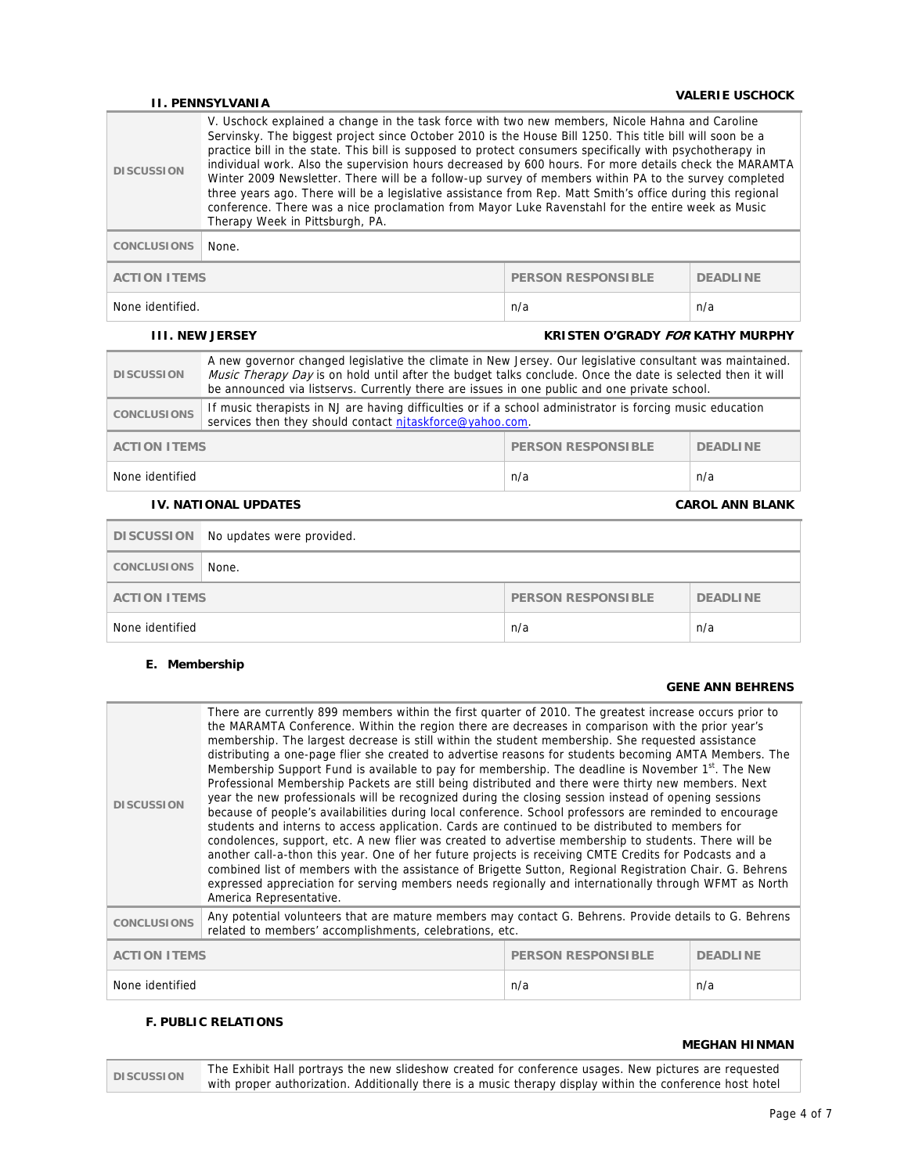## **II. PENNSYLVANIA VALERIE USCHOCK**

| <b>DISCUSSION</b>   | V. Uschock explained a change in the task force with two new members, Nicole Hahna and Caroline<br>Servinsky. The biggest project since October 2010 is the House Bill 1250. This title bill will soon be a<br>practice bill in the state. This bill is supposed to protect consumers specifically with psychotherapy in<br>individual work. Also the supervision hours decreased by 600 hours. For more details check the MARAMTA<br>Winter 2009 Newsletter. There will be a follow-up survey of members within PA to the survey completed<br>three years ago. There will be a legislative assistance from Rep. Matt Smith's office during this regional<br>conference. There was a nice proclamation from Mayor Luke Ravenstahl for the entire week as Music<br>Therapy Week in Pittsburgh, PA. |                                         |                 |
|---------------------|---------------------------------------------------------------------------------------------------------------------------------------------------------------------------------------------------------------------------------------------------------------------------------------------------------------------------------------------------------------------------------------------------------------------------------------------------------------------------------------------------------------------------------------------------------------------------------------------------------------------------------------------------------------------------------------------------------------------------------------------------------------------------------------------------|-----------------------------------------|-----------------|
| <b>CONCLUSIONS</b>  | None.                                                                                                                                                                                                                                                                                                                                                                                                                                                                                                                                                                                                                                                                                                                                                                                             |                                         |                 |
| <b>ACTION ITEMS</b> |                                                                                                                                                                                                                                                                                                                                                                                                                                                                                                                                                                                                                                                                                                                                                                                                   | <b>PERSON RESPONSIBLE</b>               | <b>DEADLINE</b> |
| None identified.    |                                                                                                                                                                                                                                                                                                                                                                                                                                                                                                                                                                                                                                                                                                                                                                                                   | n/a                                     | n/a             |
|                     | <b>III. NEW JERSEY</b>                                                                                                                                                                                                                                                                                                                                                                                                                                                                                                                                                                                                                                                                                                                                                                            | <b>KRISTEN O'GRADY FOR KATHY MURPHY</b> |                 |

| <b>PERSON RESPONSIBLE</b><br><b>ACTION ITEMS</b><br><b>DEADLINE</b> |  |
|---------------------------------------------------------------------|--|
|                                                                     |  |

|                     | DISCUSSION No updates were provided. |                           |                 |
|---------------------|--------------------------------------|---------------------------|-----------------|
| <b>CONCLUSIONS</b>  | None.                                |                           |                 |
| <b>ACTION ITEMS</b> |                                      | <b>PERSON RESPONSIBLE</b> | <b>DEADLINE</b> |
| None identified     |                                      | n/a                       | n/a             |

#### **E. Membership**

#### **GENE ANN BEHRENS**

| <b>DISCUSSION</b>   | There are currently 899 members within the first quarter of 2010. The greatest increase occurs prior to<br>the MARAMTA Conference. Within the region there are decreases in comparison with the prior year's<br>membership. The largest decrease is still within the student membership. She requested assistance<br>distributing a one-page flier she created to advertise reasons for students becoming AMTA Members. The<br>Membership Support Fund is available to pay for membership. The deadline is November 1st. The New<br>Professional Membership Packets are still being distributed and there were thirty new members. Next<br>year the new professionals will be recognized during the closing session instead of opening sessions<br>because of people's availabilities during local conference. School professors are reminded to encourage<br>students and interns to access application. Cards are continued to be distributed to members for<br>condolences, support, etc. A new flier was created to advertise membership to students. There will be<br>another call-a-thon this year. One of her future projects is receiving CMTE Credits for Podcasts and a<br>combined list of members with the assistance of Brigette Sutton, Regional Registration Chair. G. Behrens<br>expressed appreciation for serving members needs regionally and internationally through WFMT as North<br>America Representative. |                           |                 |
|---------------------|-----------------------------------------------------------------------------------------------------------------------------------------------------------------------------------------------------------------------------------------------------------------------------------------------------------------------------------------------------------------------------------------------------------------------------------------------------------------------------------------------------------------------------------------------------------------------------------------------------------------------------------------------------------------------------------------------------------------------------------------------------------------------------------------------------------------------------------------------------------------------------------------------------------------------------------------------------------------------------------------------------------------------------------------------------------------------------------------------------------------------------------------------------------------------------------------------------------------------------------------------------------------------------------------------------------------------------------------------------------------------------------------------------------------------------------|---------------------------|-----------------|
| <b>CONCLUSIONS</b>  | Any potential volunteers that are mature members may contact G. Behrens. Provide details to G. Behrens<br>related to members' accomplishments, celebrations, etc.                                                                                                                                                                                                                                                                                                                                                                                                                                                                                                                                                                                                                                                                                                                                                                                                                                                                                                                                                                                                                                                                                                                                                                                                                                                                 |                           |                 |
| <b>ACTION ITEMS</b> |                                                                                                                                                                                                                                                                                                                                                                                                                                                                                                                                                                                                                                                                                                                                                                                                                                                                                                                                                                                                                                                                                                                                                                                                                                                                                                                                                                                                                                   | <b>PERSON RESPONSIBLE</b> | <b>DEADLINE</b> |
| None identified     |                                                                                                                                                                                                                                                                                                                                                                                                                                                                                                                                                                                                                                                                                                                                                                                                                                                                                                                                                                                                                                                                                                                                                                                                                                                                                                                                                                                                                                   | n/a                       | n/a             |

#### **F. PUBLIC RELATIONS**

#### **MEGHAN HINMAN**

**DISCUSSION** The Exhibit Hall portrays the new slideshow created for conference usages. New pictures are requested<br>with prepara outboiration. Additionally there is a music there will discuss the conference heat hately with proper authorization. Additionally there is a music therapy display within the conference host hotel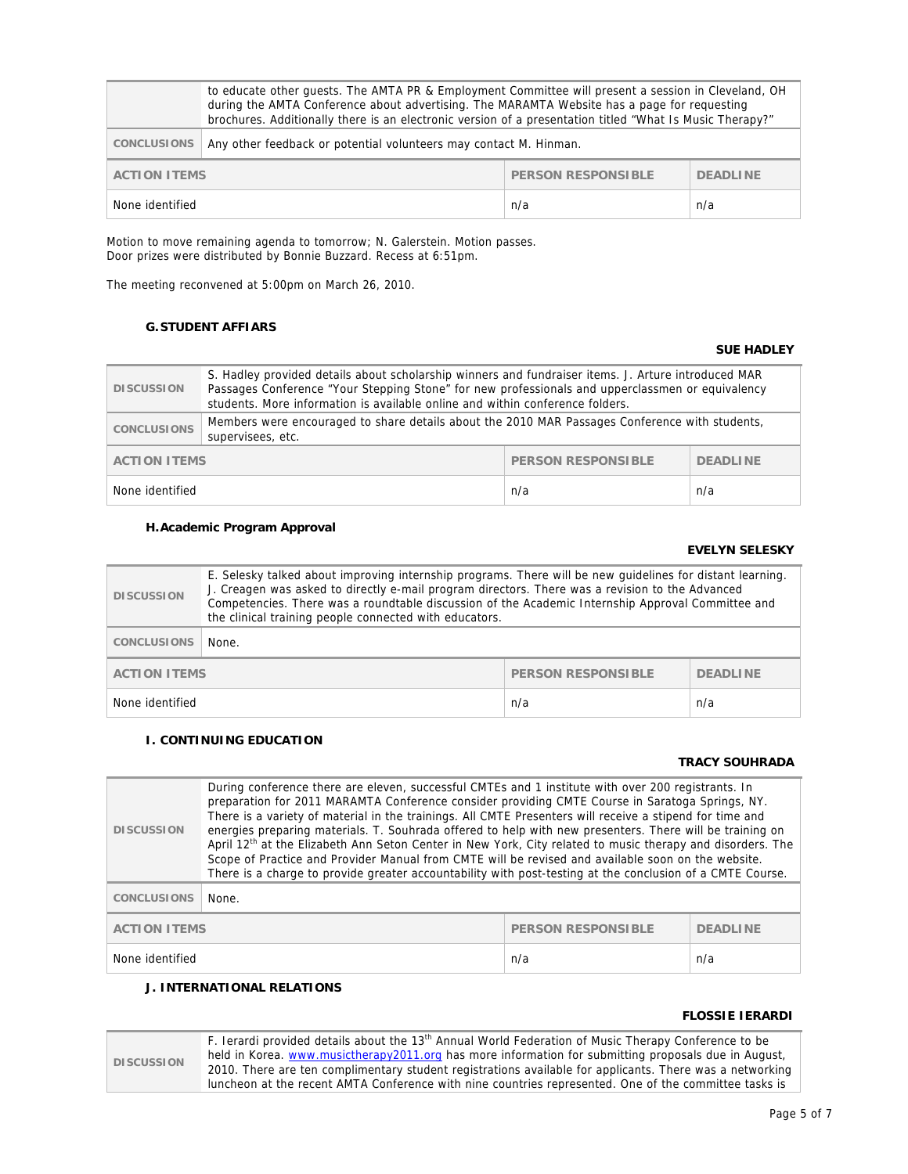|                                                  | to educate other quests. The AMTA PR & Employment Committee will present a session in Cleveland, OH<br>during the AMTA Conference about advertising. The MARAMTA Website has a page for requesting<br>brochures. Additionally there is an electronic version of a presentation titled "What Is Music Therapy?" |                 |     |
|--------------------------------------------------|----------------------------------------------------------------------------------------------------------------------------------------------------------------------------------------------------------------------------------------------------------------------------------------------------------------|-----------------|-----|
| <b>CONCLUSIONS</b>                               | Any other feedback or potential volunteers may contact M. Hinman.                                                                                                                                                                                                                                              |                 |     |
| <b>PERSON RESPONSIBLE</b><br><b>ACTION ITEMS</b> |                                                                                                                                                                                                                                                                                                                | <b>DEADLINE</b> |     |
| None identified                                  |                                                                                                                                                                                                                                                                                                                | n/a             | n/a |

Motion to move remaining agenda to tomorrow; N. Galerstein. Motion passes. Door prizes were distributed by Bonnie Buzzard. Recess at 6:51pm.

The meeting reconvened at 5:00pm on March 26, 2010.

### **G.STUDENT AFFIARS**

#### **SUE HADLEY**

| <b>DISCUSSION</b>   | S. Hadley provided details about scholarship winners and fundraiser items. J. Arture introduced MAR<br>Passages Conference "Your Stepping Stone" for new professionals and upperclassmen or equivalency<br>students. More information is available online and within conference folders. |                    |                 |
|---------------------|------------------------------------------------------------------------------------------------------------------------------------------------------------------------------------------------------------------------------------------------------------------------------------------|--------------------|-----------------|
| <b>CONCLUSIONS</b>  | Members were encouraged to share details about the 2010 MAR Passages Conference with students,<br>supervisees, etc.                                                                                                                                                                      |                    |                 |
| <b>ACTION ITEMS</b> |                                                                                                                                                                                                                                                                                          | PERSON RESPONSIBLE | <b>DEADLINE</b> |
| None identified     |                                                                                                                                                                                                                                                                                          | n/a                | n/a             |

#### **H.Academic Program Approval**

#### **EVELYN SELESKY**

| <b>DISCUSSION</b>   | E. Selesky talked about improving internship programs. There will be new guidelines for distant learning.<br>J. Creagen was asked to directly e-mail program directors. There was a revision to the Advanced<br>Competencies. There was a roundtable discussion of the Academic Internship Approval Committee and<br>the clinical training people connected with educators. |                           |                 |
|---------------------|-----------------------------------------------------------------------------------------------------------------------------------------------------------------------------------------------------------------------------------------------------------------------------------------------------------------------------------------------------------------------------|---------------------------|-----------------|
| <b>CONCLUSIONS</b>  | None.                                                                                                                                                                                                                                                                                                                                                                       |                           |                 |
| <b>ACTION ITEMS</b> |                                                                                                                                                                                                                                                                                                                                                                             | <b>PERSON RESPONSIBLE</b> | <b>DEADLINE</b> |
| None identified     |                                                                                                                                                                                                                                                                                                                                                                             | n/a                       | n/a             |

#### **I. CONTINUING EDUCATION**

#### **TRACY SOUHRADA**

| <b>DISCUSSION</b>   | During conference there are eleven, successful CMTEs and 1 institute with over 200 registrants. In<br>preparation for 2011 MARAMTA Conference consider providing CMTE Course in Saratoga Springs, NY.<br>There is a variety of material in the trainings. All CMTE Presenters will receive a stipend for time and<br>energies preparing materials. T. Souhrada offered to help with new presenters. There will be training on<br>April 12th at the Elizabeth Ann Seton Center in New York, City related to music therapy and disorders. The<br>Scope of Practice and Provider Manual from CMTE will be revised and available soon on the website.<br>There is a charge to provide greater accountability with post-testing at the conclusion of a CMTE Course. |                           |                 |
|---------------------|----------------------------------------------------------------------------------------------------------------------------------------------------------------------------------------------------------------------------------------------------------------------------------------------------------------------------------------------------------------------------------------------------------------------------------------------------------------------------------------------------------------------------------------------------------------------------------------------------------------------------------------------------------------------------------------------------------------------------------------------------------------|---------------------------|-----------------|
| <b>CONCLUSIONS</b>  | None.                                                                                                                                                                                                                                                                                                                                                                                                                                                                                                                                                                                                                                                                                                                                                          |                           |                 |
| <b>ACTION ITEMS</b> |                                                                                                                                                                                                                                                                                                                                                                                                                                                                                                                                                                                                                                                                                                                                                                | <b>PERSON RESPONSIBLE</b> | <b>DEADLINE</b> |
| None identified     |                                                                                                                                                                                                                                                                                                                                                                                                                                                                                                                                                                                                                                                                                                                                                                | n/a                       | n/a             |

## **J. INTERNATIONAL RELATIONS**

#### **FLOSSIE IERARDI**

|  | F. Ierardi provided details about the 13 <sup>th</sup> Annual World Federation of Music Therapy Conference to be |                                                                                                          |  |
|--|------------------------------------------------------------------------------------------------------------------|----------------------------------------------------------------------------------------------------------|--|
|  | <b>DISCUSSION</b>                                                                                                | held in Korea. www.musictherapy2011.org has more information for submitting proposals due in August,     |  |
|  |                                                                                                                  | 2010. There are ten complimentary student registrations available for applicants. There was a networking |  |
|  |                                                                                                                  | luncheon at the recent AMTA Conference with nine countries represented. One of the committee tasks is    |  |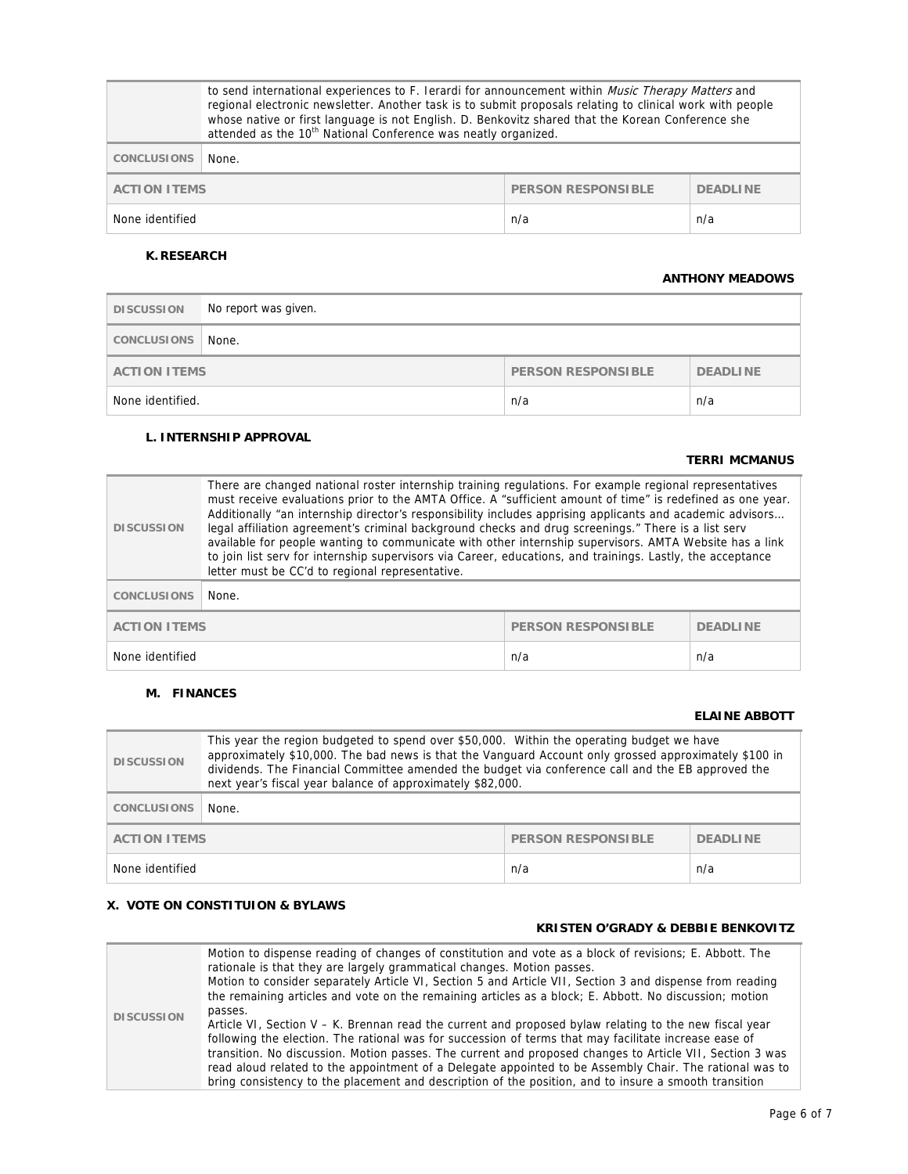|                                                                     | to send international experiences to F. Ierardi for announcement within <i>Music Therapy Matters</i> and<br>regional electronic newsletter. Another task is to submit proposals relating to clinical work with people<br>whose native or first language is not English. D. Benkovitz shared that the Korean Conference she<br>attended as the 10 <sup>th</sup> National Conference was neatly organized. |     |     |
|---------------------------------------------------------------------|----------------------------------------------------------------------------------------------------------------------------------------------------------------------------------------------------------------------------------------------------------------------------------------------------------------------------------------------------------------------------------------------------------|-----|-----|
| <b>CONCLUSIONS</b>                                                  | None.                                                                                                                                                                                                                                                                                                                                                                                                    |     |     |
| <b>PERSON RESPONSIBLE</b><br><b>ACTION ITEMS</b><br><b>DEADLINE</b> |                                                                                                                                                                                                                                                                                                                                                                                                          |     |     |
| None identified                                                     |                                                                                                                                                                                                                                                                                                                                                                                                          | n/a | n/a |

### **K. RESEARCH**

#### **ANTHONY MEADOWS**

| <b>DISCUSSION</b>                                                   | No report was given. |     |     |
|---------------------------------------------------------------------|----------------------|-----|-----|
| <b>CONCLUSIONS</b>                                                  | None.                |     |     |
| <b>PERSON RESPONSIBLE</b><br><b>DEADLINE</b><br><b>ACTION ITEMS</b> |                      |     |     |
| None identified.                                                    |                      | n/a | n/a |

### **L. INTERNSHIP APPROVAL**

### **TERRI MCMANUS**

| <b>DISCUSSION</b>                                | There are changed national roster internship training regulations. For example regional representatives<br>must receive evaluations prior to the AMTA Office. A "sufficient amount of time" is redefined as one year.<br>Additionally "an internship director's responsibility includes apprising applicants and academic advisors<br>legal affiliation agreement's criminal background checks and drug screenings." There is a list serv<br>available for people wanting to communicate with other internship supervisors. AMTA Website has a link<br>to join list serv for internship supervisors via Career, educations, and trainings. Lastly, the acceptance<br>letter must be CC'd to regional representative. |                 |     |
|--------------------------------------------------|----------------------------------------------------------------------------------------------------------------------------------------------------------------------------------------------------------------------------------------------------------------------------------------------------------------------------------------------------------------------------------------------------------------------------------------------------------------------------------------------------------------------------------------------------------------------------------------------------------------------------------------------------------------------------------------------------------------------|-----------------|-----|
| <b>CONCLUSIONS</b>                               | None.                                                                                                                                                                                                                                                                                                                                                                                                                                                                                                                                                                                                                                                                                                                |                 |     |
| <b>PERSON RESPONSIBLE</b><br><b>ACTION ITEMS</b> |                                                                                                                                                                                                                                                                                                                                                                                                                                                                                                                                                                                                                                                                                                                      | <b>DEADLINE</b> |     |
| None identified                                  |                                                                                                                                                                                                                                                                                                                                                                                                                                                                                                                                                                                                                                                                                                                      | n/a             | n/a |

#### **M. FINANCES**

#### **ELAINE ABBOTT**

| <b>DISCUSSION</b>                                | This year the region budgeted to spend over \$50,000. Within the operating budget we have<br>approximately \$10,000. The bad news is that the Vanguard Account only grossed approximately \$100 in<br>dividends. The Financial Committee amended the budget via conference call and the EB approved the<br>next year's fiscal year balance of approximately \$82,000. |                 |     |
|--------------------------------------------------|-----------------------------------------------------------------------------------------------------------------------------------------------------------------------------------------------------------------------------------------------------------------------------------------------------------------------------------------------------------------------|-----------------|-----|
| <b>CONCLUSIONS</b>                               | None.                                                                                                                                                                                                                                                                                                                                                                 |                 |     |
| <b>PERSON RESPONSIBLE</b><br><b>ACTION ITEMS</b> |                                                                                                                                                                                                                                                                                                                                                                       | <b>DEADLINE</b> |     |
| None identified                                  |                                                                                                                                                                                                                                                                                                                                                                       | n/a             | n/a |

### **X. VOTE ON CONSTITUION & BYLAWS**

#### **KRISTEN O'GRADY & DEBBIE BENKOVITZ**

|                   | Motion to dispense reading of changes of constitution and vote as a block of revisions; E. Abbott. The<br>rationale is that they are largely grammatical changes. Motion passes.<br>Motion to consider separately Article VI, Section 5 and Article VII, Section 3 and dispense from reading<br>the remaining articles and vote on the remaining articles as a block; E. Abbott. No discussion; motion |
|-------------------|--------------------------------------------------------------------------------------------------------------------------------------------------------------------------------------------------------------------------------------------------------------------------------------------------------------------------------------------------------------------------------------------------------|
| <b>DISCUSSION</b> | passes.<br>Article VI, Section V – K. Brennan read the current and proposed bylaw relating to the new fiscal year<br>following the election. The rational was for succession of terms that may facilitate increase ease of<br>transition. No discussion. Motion passes. The current and proposed changes to Article VII, Section 3 was                                                                 |
|                   | read aloud related to the appointment of a Delegate appointed to be Assembly Chair. The rational was to<br>bring consistency to the placement and description of the position, and to insure a smooth transition                                                                                                                                                                                       |